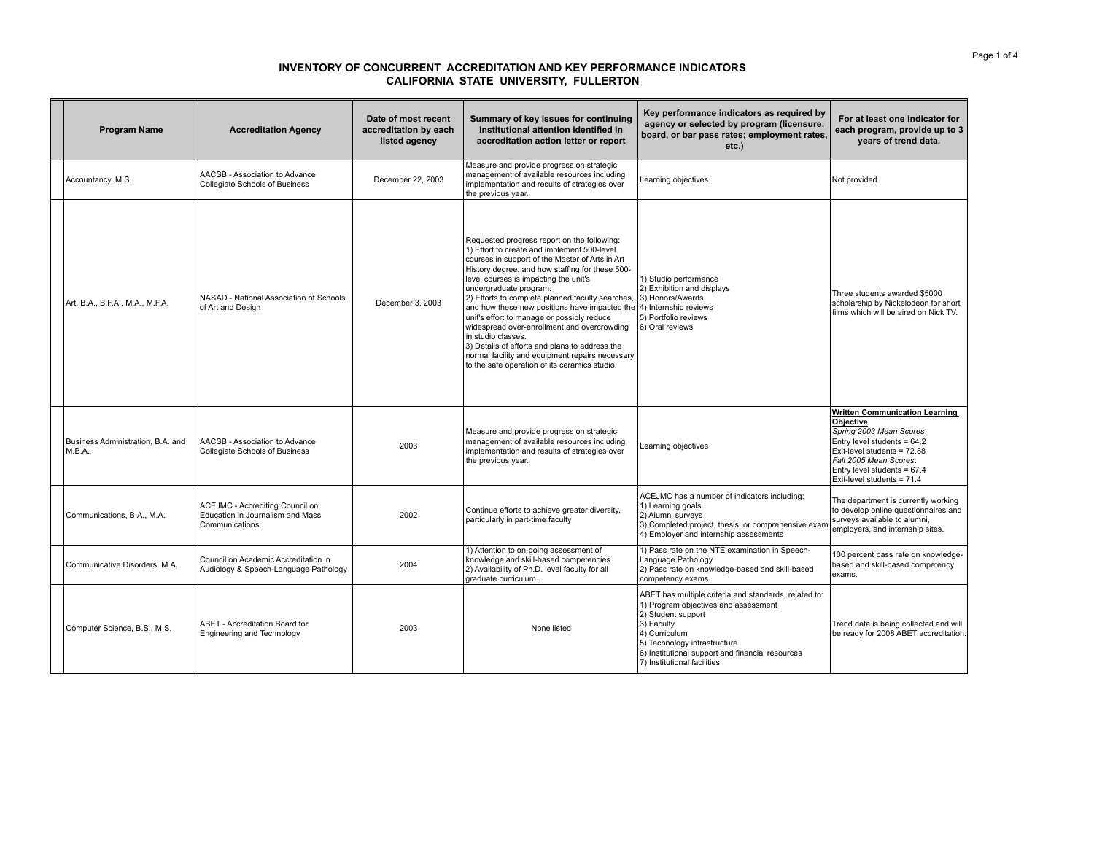## **INVENTORY OF CONCURRENT ACCREDITATION AND KEY PERFORMANCE INDICATORS CALIFORNIA STATE UNIVERSITY, FULLERTON**

| <b>Program Name</b>                         | <b>Accreditation Agency</b>                                                           | Date of most recent<br>accreditation by each<br>listed agency | Summary of key issues for continuing<br>institutional attention identified in<br>accreditation action letter or report                                                                                                                                                                                                                                                                                                                                                                                                                                                                                                                                                  | Key performance indicators as required by<br>agency or selected by program (licensure,<br>board, or bar pass rates; employment rates,<br>etc.)                                                                                                                        | For at least one indicator for<br>each program, provide up to 3<br>years of trend data.                                                                                                                                               |
|---------------------------------------------|---------------------------------------------------------------------------------------|---------------------------------------------------------------|-------------------------------------------------------------------------------------------------------------------------------------------------------------------------------------------------------------------------------------------------------------------------------------------------------------------------------------------------------------------------------------------------------------------------------------------------------------------------------------------------------------------------------------------------------------------------------------------------------------------------------------------------------------------------|-----------------------------------------------------------------------------------------------------------------------------------------------------------------------------------------------------------------------------------------------------------------------|---------------------------------------------------------------------------------------------------------------------------------------------------------------------------------------------------------------------------------------|
| Accountancy, M.S.                           | AACSB - Association to Advance<br>Collegiate Schools of Business                      | December 22, 2003                                             | Measure and provide progress on strategic<br>management of available resources including<br>implementation and results of strategies over<br>the previous year.                                                                                                                                                                                                                                                                                                                                                                                                                                                                                                         | Learning objectives                                                                                                                                                                                                                                                   | Not provided                                                                                                                                                                                                                          |
| Art, B.A., B.F.A., M.A., M.F.A.             | NASAD - National Association of Schools<br>of Art and Design                          | December 3, 2003                                              | Requested progress report on the following:<br>1) Effort to create and implement 500-level<br>courses in support of the Master of Arts in Art<br>History degree, and how staffing for these 500-<br>level courses is impacting the unit's<br>undergraduate program.<br>2) Efforts to complete planned faculty searches,<br>and how these new positions have impacted the 4) Internship reviews<br>unit's effort to manage or possibly reduce<br>widespread over-enrollment and overcrowding<br>in studio classes.<br>3) Details of efforts and plans to address the<br>normal facility and equipment repairs necessary<br>to the safe operation of its ceramics studio. | 1) Studio performance<br>2) Exhibition and displays<br>3) Honors/Awards<br>5) Portfolio reviews<br>6) Oral reviews                                                                                                                                                    | Three students awarded \$5000<br>scholarship by Nickelodeon for short<br>films which will be aired on Nick TV.                                                                                                                        |
| Business Administration, B.A. and<br>M.B.A. | AACSB - Association to Advance<br>Collegiate Schools of Business                      | 2003                                                          | Measure and provide progress on strategic<br>management of available resources including<br>implementation and results of strategies over<br>the previous year.                                                                                                                                                                                                                                                                                                                                                                                                                                                                                                         | Learning objectives                                                                                                                                                                                                                                                   | <b>Written Communication Learning</b><br>Objective<br>Spring 2003 Mean Scores:<br>Entry level students = $64.2$<br>Exit-level students = 72.88<br>Fall 2005 Mean Scores:<br>Entry level students = 67.4<br>Exit-level students = 71.4 |
| Communications, B.A., M.A.                  | ACEJMC - Accrediting Council on<br>Education in Journalism and Mass<br>Communications | 2002                                                          | Continue efforts to achieve greater diversity,<br>particularly in part-time faculty                                                                                                                                                                                                                                                                                                                                                                                                                                                                                                                                                                                     | ACEJMC has a number of indicators including:<br>1) Learning goals<br>2) Alumni surveys<br>3) Completed project, thesis, or comprehensive exam<br>4) Employer and internship assessments                                                                               | The department is currently working<br>to develop online questionnaires and<br>surveys available to alumni,<br>employers, and internship sites.                                                                                       |
| Communicative Disorders, M.A.               | Council on Academic Accreditation in<br>Audiology & Speech-Language Pathology         | 2004                                                          | 1) Attention to on-going assessment of<br>knowledge and skill-based competencies.<br>2) Availability of Ph.D. level faculty for all<br>araduate curriculum.                                                                                                                                                                                                                                                                                                                                                                                                                                                                                                             | 1) Pass rate on the NTE examination in Speech-<br>Language Pathology<br>2) Pass rate on knowledge-based and skill-based<br>competency exams.                                                                                                                          | 100 percent pass rate on knowledge-<br>based and skill-based competency<br>exams.                                                                                                                                                     |
| Computer Science, B.S., M.S.                | ABET - Accreditation Board for<br>Engineering and Technology                          | 2003                                                          | None listed                                                                                                                                                                                                                                                                                                                                                                                                                                                                                                                                                                                                                                                             | ABET has multiple criteria and standards, related to:<br>1) Program objectives and assessment<br>2) Student support<br>3) Faculty<br>4) Curriculum<br>5) Technology infrastructure<br>6) Institutional support and financial resources<br>7) Institutional facilities | Trend data is being collected and will<br>be ready for 2008 ABET accreditation.                                                                                                                                                       |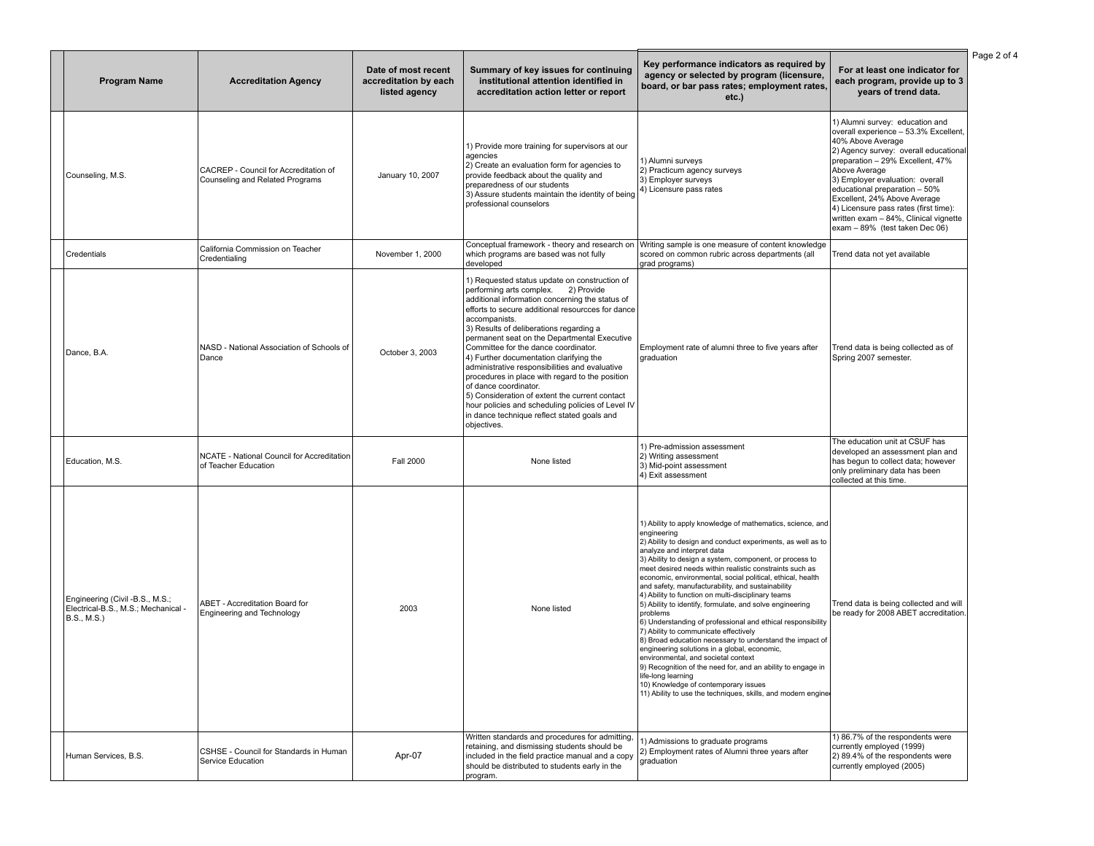| <b>Program Name</b>                                                                 | <b>Accreditation Agency</b>                                              | Date of most recent<br>accreditation by each<br>listed agency | Summary of key issues for continuing<br>institutional attention identified in<br>accreditation action letter or report                                                                                                                                                                                                                                                                                                                                                                                                                                                                                                                                                                         | Key performance indicators as required by<br>agency or selected by program (licensure,<br>board, or bar pass rates; employment rates,<br>$etc.$ )                                                                                                                                                                                                                                                                                                                                                                                                                                                                                                                                                                                                                                                                                                                                                                                                                                                     | For at least one indicator for<br>each program, provide up to 3<br>years of trend data.                                                                                                                                                                                                                                                                                                                             |
|-------------------------------------------------------------------------------------|--------------------------------------------------------------------------|---------------------------------------------------------------|------------------------------------------------------------------------------------------------------------------------------------------------------------------------------------------------------------------------------------------------------------------------------------------------------------------------------------------------------------------------------------------------------------------------------------------------------------------------------------------------------------------------------------------------------------------------------------------------------------------------------------------------------------------------------------------------|-------------------------------------------------------------------------------------------------------------------------------------------------------------------------------------------------------------------------------------------------------------------------------------------------------------------------------------------------------------------------------------------------------------------------------------------------------------------------------------------------------------------------------------------------------------------------------------------------------------------------------------------------------------------------------------------------------------------------------------------------------------------------------------------------------------------------------------------------------------------------------------------------------------------------------------------------------------------------------------------------------|---------------------------------------------------------------------------------------------------------------------------------------------------------------------------------------------------------------------------------------------------------------------------------------------------------------------------------------------------------------------------------------------------------------------|
| Counseling, M.S.                                                                    | CACREP - Council for Accreditation of<br>Counseling and Related Programs | January 10, 2007                                              | 1) Provide more training for supervisors at our<br>agencies<br>2) Create an evaluation form for agencies to<br>provide feedback about the quality and<br>preparedness of our students<br>3) Assure students maintain the identity of being<br>professional counselors                                                                                                                                                                                                                                                                                                                                                                                                                          | 1) Alumni surveys<br>2) Practicum agency surveys<br>3) Employer surveys<br>4) Licensure pass rates                                                                                                                                                                                                                                                                                                                                                                                                                                                                                                                                                                                                                                                                                                                                                                                                                                                                                                    | 1) Alumni survey: education and<br>overall experience - 53.3% Excellent,<br>40% Above Average<br>2) Agency survey: overall educational<br>preparation - 29% Excellent, 47%<br>Above Average<br>3) Employer evaluation: overall<br>educational preparation - 50%<br>Excellent, 24% Above Average<br>4) Licensure pass rates (first time):<br>written exam - 84%, Clinical vignette<br>exam - 89% (test taken Dec 06) |
| Credentials                                                                         | California Commission on Teacher<br>Credentialing                        | November 1, 2000                                              | Conceptual framework - theory and research on<br>which programs are based was not fully<br>developed                                                                                                                                                                                                                                                                                                                                                                                                                                                                                                                                                                                           | Writing sample is one measure of content knowledge<br>scored on common rubric across departments (all<br>grad programs)                                                                                                                                                                                                                                                                                                                                                                                                                                                                                                                                                                                                                                                                                                                                                                                                                                                                               | Trend data not yet available                                                                                                                                                                                                                                                                                                                                                                                        |
| Dance, B.A.                                                                         | NASD - National Association of Schools of<br>Dance                       | October 3, 2003                                               | 1) Requested status update on construction of<br>performing arts complex. 2) Provide<br>additional information concerning the status of<br>efforts to secure additional resourcces for dance<br>accompanists.<br>3) Results of deliberations regarding a<br>permanent seat on the Departmental Executive<br>Committee for the dance coordinator.<br>4) Further documentation clarifying the<br>administrative responsibilities and evaluative<br>procedures in place with regard to the position<br>of dance coordinator.<br>5) Consideration of extent the current contact<br>hour policies and scheduling policies of Level IV<br>in dance technique reflect stated goals and<br>objectives. | Employment rate of alumni three to five years after<br>graduation                                                                                                                                                                                                                                                                                                                                                                                                                                                                                                                                                                                                                                                                                                                                                                                                                                                                                                                                     | Trend data is being collected as of<br>Spring 2007 semester.                                                                                                                                                                                                                                                                                                                                                        |
| Education, M.S.                                                                     | NCATE - National Council for Accreditation<br>of Teacher Education       | <b>Fall 2000</b>                                              | None listed                                                                                                                                                                                                                                                                                                                                                                                                                                                                                                                                                                                                                                                                                    | 1) Pre-admission assessment<br>2) Writing assessment<br>3) Mid-point assessment<br>4) Exit assessment                                                                                                                                                                                                                                                                                                                                                                                                                                                                                                                                                                                                                                                                                                                                                                                                                                                                                                 | The education unit at CSUF has<br>developed an assessment plan and<br>has begun to collect data; however<br>only preliminary data has been<br>collected at this time.                                                                                                                                                                                                                                               |
| Engineering (Civil -B.S., M.S.;<br>Electrical-B.S., M.S.; Mechanical<br>B.S., M.S.) | <b>ABET - Accreditation Board for</b><br>Engineering and Technology      | 2003                                                          | None listed                                                                                                                                                                                                                                                                                                                                                                                                                                                                                                                                                                                                                                                                                    | 1) Ability to apply knowledge of mathematics, science, and<br>engineering<br>2) Ability to design and conduct experiments, as well as to<br>analyze and interpret data<br>3) Ability to design a system, component, or process to<br>meet desired needs within realistic constraints such as<br>economic, environmental, social political, ethical, health<br>and safety, manufacturability, and sustainability<br>4) Ability to function on multi-disciplinary teams<br>5) Ability to identify, formulate, and solve engineering<br>problems<br>6) Understanding of professional and ethical responsibility<br>7) Ability to communicate effectively<br>8) Broad education necessary to understand the impact of<br>engineering solutions in a global, economic,<br>environmental, and societal context<br>9) Recognition of the need for, and an ability to engage in<br>life-long learning<br>10) Knowledge of contemporary issues<br>11) Ability to use the techniques, skills, and modern engine | Frend data is being collected and will<br>be ready for 2008 ABET accreditation                                                                                                                                                                                                                                                                                                                                      |
| Human Services, B.S.                                                                | CSHSE - Council for Standards in Human<br>Service Education              | Apr-07                                                        | Written standards and procedures for admitting,<br>retaining, and dismissing students should be<br>included in the field practice manual and a copy<br>should be distributed to students early in the<br>program.                                                                                                                                                                                                                                                                                                                                                                                                                                                                              | 1) Admissions to graduate programs<br>2) Employment rates of Alumni three years after<br>graduation                                                                                                                                                                                                                                                                                                                                                                                                                                                                                                                                                                                                                                                                                                                                                                                                                                                                                                   | 1) 86.7% of the respondents were<br>currently employed (1999)<br>2) 89.4% of the respondents were<br>currently employed (2005)                                                                                                                                                                                                                                                                                      |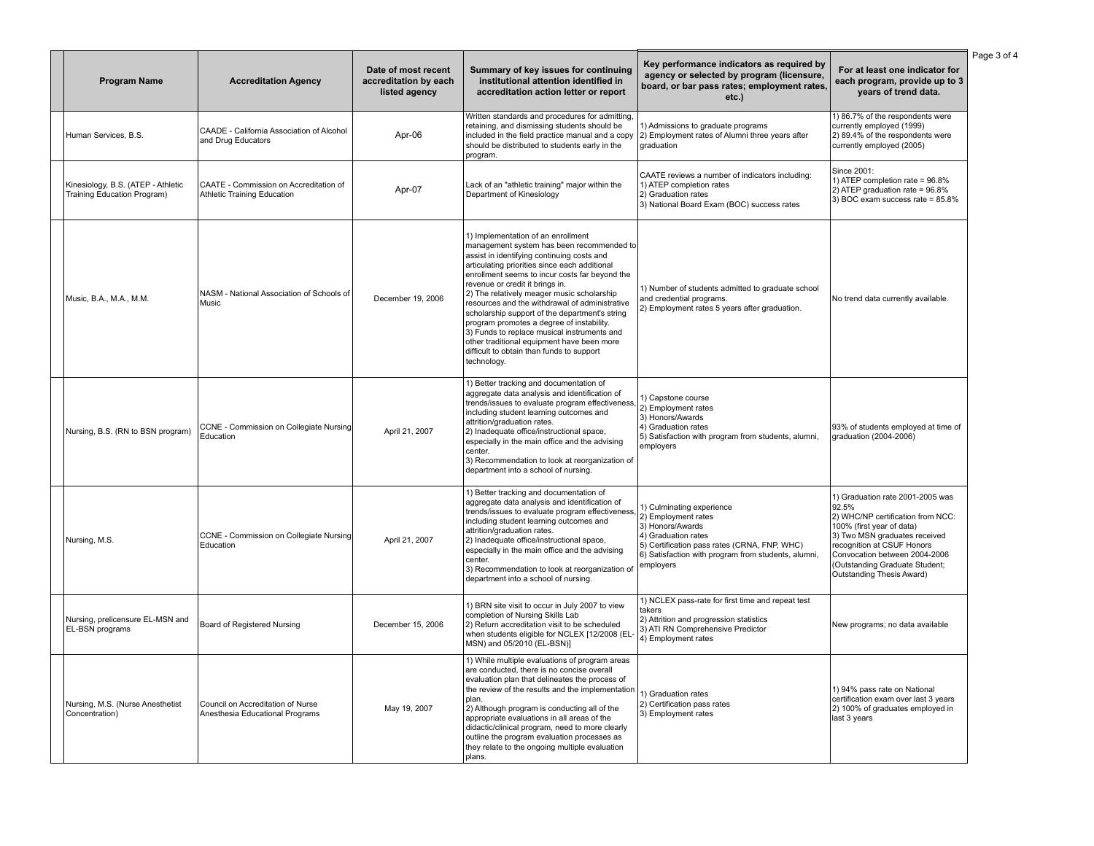| <b>Program Name</b>                                               | <b>Accreditation Agency</b>                                           | Date of most recent<br>accreditation by each<br>listed agency | Summary of key issues for continuing<br>institutional attention identified in<br>accreditation action letter or report                                                                                                                                                                                                                                                                                                                                                                                                                                                                                                      | Key performance indicators as required by<br>agency or selected by program (licensure,<br>board, or bar pass rates; employment rates,<br>$etc.$ )                                                               | For at least one indicator for<br>each program, provide up to 3<br>years of trend data.                                                                                                                                                                                    |
|-------------------------------------------------------------------|-----------------------------------------------------------------------|---------------------------------------------------------------|-----------------------------------------------------------------------------------------------------------------------------------------------------------------------------------------------------------------------------------------------------------------------------------------------------------------------------------------------------------------------------------------------------------------------------------------------------------------------------------------------------------------------------------------------------------------------------------------------------------------------------|-----------------------------------------------------------------------------------------------------------------------------------------------------------------------------------------------------------------|----------------------------------------------------------------------------------------------------------------------------------------------------------------------------------------------------------------------------------------------------------------------------|
| Human Services, B.S.                                              | CAADE - California Association of Alcohol<br>and Drug Educators       | Apr-06                                                        | Written standards and procedures for admitting,<br>retaining, and dismissing students should be<br>included in the field practice manual and a copy<br>should be distributed to students early in the<br>program.                                                                                                                                                                                                                                                                                                                                                                                                           | 1) Admissions to graduate programs<br>2) Employment rates of Alumni three years after<br>graduation                                                                                                             | 1) 86.7% of the respondents were<br>currently employed (1999)<br>2) 89.4% of the respondents were<br>currently employed (2005)                                                                                                                                             |
| Kinesiology, B.S. (ATEP - Athletic<br>Training Education Program) | CAATE - Commission on Accreditation of<br>Athletic Training Education | Apr-07                                                        | Lack of an "athletic training" major within the<br>Department of Kinesiology                                                                                                                                                                                                                                                                                                                                                                                                                                                                                                                                                | CAATE reviews a number of indicators including:<br>1) ATEP completion rates<br>2) Graduation rates<br>3) National Board Exam (BOC) success rates                                                                | Since 2001:<br>1) ATEP completion rate = 96.8%<br>2) ATEP graduation rate = 96.8%<br>3) BOC exam success rate = 85.8%                                                                                                                                                      |
| Music, B.A., M.A., M.M.                                           | NASM - National Association of Schools of<br>Music                    | December 19, 2006                                             | 1) Implementation of an enrollment<br>management system has been recommended to<br>assist in identifying continuing costs and<br>articulating priorities since each additional<br>enrollment seems to incur costs far beyond the<br>revenue or credit it brings in.<br>2) The relatively meager music scholarship<br>resources and the withdrawal of administrative<br>scholarship support of the department's string<br>program promotes a degree of instability.<br>3) Funds to replace musical instruments and<br>other traditional equipment have been more<br>difficult to obtain than funds to support<br>technology. | 1) Number of students admitted to graduate school<br>and credential programs.<br>2) Employment rates 5 years after graduation.                                                                                  | No trend data currently available.                                                                                                                                                                                                                                         |
| Nursing, B.S. (RN to BSN program)                                 | CCNE - Commission on Collegiate Nursing<br>Education                  | April 21, 2007                                                | 1) Better tracking and documentation of<br>aggregate data analysis and identification of<br>trends/issues to evaluate program effectiveness,<br>including student learning outcomes and<br>attrition/graduation rates.<br>2) Inadequate office/instructional space,<br>especially in the main office and the advising<br>center.<br>3) Recommendation to look at reorganization of<br>department into a school of nursing.                                                                                                                                                                                                  | 1) Capstone course<br>2) Employment rates<br>3) Honors/Awards<br>4) Graduation rates<br>5) Satisfaction with program from students, alumni,<br>employers                                                        | 93% of students employed at time of<br>graduation (2004-2006)                                                                                                                                                                                                              |
| Nursing, M.S.                                                     | CCNE - Commission on Collegiate Nursing<br>Education                  | April 21, 2007                                                | 1) Better tracking and documentation of<br>aggregate data analysis and identification of<br>trends/issues to evaluate program effectiveness,<br>including student learning outcomes and<br>attrition/graduation rates.<br>2) Inadequate office/instructional space,<br>especially in the main office and the advising<br>center.<br>3) Recommendation to look at reorganization of<br>department into a school of nursing.                                                                                                                                                                                                  | 1) Culminating experience<br>2) Employment rates<br>3) Honors/Awards<br>4) Graduation rates<br>5) Certification pass rates (CRNA, FNP, WHC)<br>6) Satisfaction with program from students, alumni,<br>employers | 1) Graduation rate 2001-2005 was<br>92.5%<br>2) WHC/NP certification from NCC:<br>100% (first year of data)<br>3) Two MSN graduates received<br>recognition at CSUF Honors<br>Convocation between 2004-2006<br>(Outstanding Graduate Student;<br>Outstanding Thesis Award) |
| Nursing, prelicensure EL-MSN and<br>EL-BSN programs               | Board of Registered Nursing                                           | December 15, 2006                                             | 1) BRN site visit to occur in July 2007 to view<br>completion of Nursing Skills Lab<br>2) Return accreditation visit to be scheduled<br>when students eligible for NCLEX [12/2008 (EL-<br>MSN) and 05/2010 (EL-BSN)]                                                                                                                                                                                                                                                                                                                                                                                                        | 1) NCLEX pass-rate for first time and repeat test<br>takers<br>2) Attrition and progression statistics<br>3) ATI RN Comprehensive Predictor<br>4) Employment rates                                              | New programs; no data available                                                                                                                                                                                                                                            |
| Nursing, M.S. (Nurse Anesthetist<br>Concentration)                | Council on Accreditation of Nurse<br>Anesthesia Educational Programs  | May 19, 2007                                                  | 1) While multiple evaluations of program areas<br>are conducted, there is no concise overall<br>evaluation plan that delineates the process of<br>the review of the results and the implementation<br>plan.<br>2) Although program is conducting all of the<br>appropriate evaluations in all areas of the<br>didactic/clinical program, need to more clearly<br>outline the program evaluation processes as<br>they relate to the ongoing multiple evaluation<br>plans.                                                                                                                                                    | 1) Graduation rates<br>2) Certification pass rates<br>3) Employment rates                                                                                                                                       | 1) 94% pass rate on National<br>certification exam over last 3 years<br>2) 100% of graduates employed in<br>last 3 years                                                                                                                                                   |